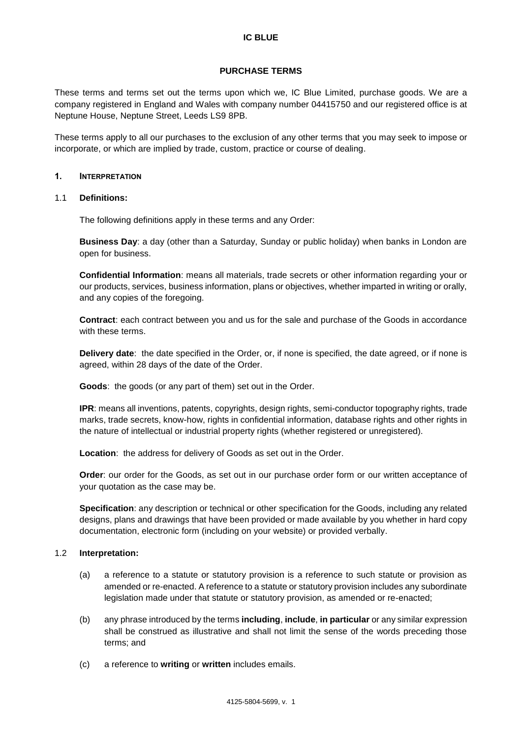## **PURCHASE TERMS**

These terms and terms set out the terms upon which we, IC Blue Limited, purchase goods. We are a company registered in England and Wales with company number 04415750 and our registered office is at Neptune House, Neptune Street, Leeds LS9 8PB.

These terms apply to all our purchases to the exclusion of any other terms that you may seek to impose or incorporate, or which are implied by trade, custom, practice or course of dealing.

### 1. INTERPRETATION

### 1.1 **Definitions:**

The following definitions apply in these terms and any Order:

**Business Day**: a day (other than a Saturday, Sunday or public holiday) when banks in London are open for business.

**Confidential Information**: means all materials, trade secrets or other information regarding your or our products, services, business information, plans or objectives, whether imparted in writing or orally, and any copies of the foregoing.

**Contract**: each contract between you and us for the sale and purchase of the Goods in accordance with these terms.

**Delivery date**: the date specified in the Order, or, if none is specified, the date agreed, or if none is agreed, within 28 days of the date of the Order.

**Goods**: the goods (or any part of them) set out in the Order.

**IPR**: means all inventions, patents, copyrights, design rights, semi-conductor topography rights, trade marks, trade secrets, know-how, rights in confidential information, database rights and other rights in the nature of intellectual or industrial property rights (whether registered or unregistered).

**Location**: the address for delivery of Goods as set out in the Order.

**Order**: our order for the Goods, as set out in our purchase order form or our written acceptance of your quotation as the case may be.

**Specification**: any description or technical or other specification for the Goods, including any related designs, plans and drawings that have been provided or made available by you whether in hard copy documentation, electronic form (including on your website) or provided verbally.

# 1.2 **Interpretation:**

- (a) a reference to a statute or statutory provision is a reference to such statute or provision as amended or re-enacted. A reference to a statute or statutory provision includes any subordinate legislation made under that statute or statutory provision, as amended or re-enacted;
- (b) any phrase introduced by the terms **including**, **include**, **in particular** or any similar expression shall be construed as illustrative and shall not limit the sense of the words preceding those terms; and
- (c) a reference to **writing** or **written** includes emails.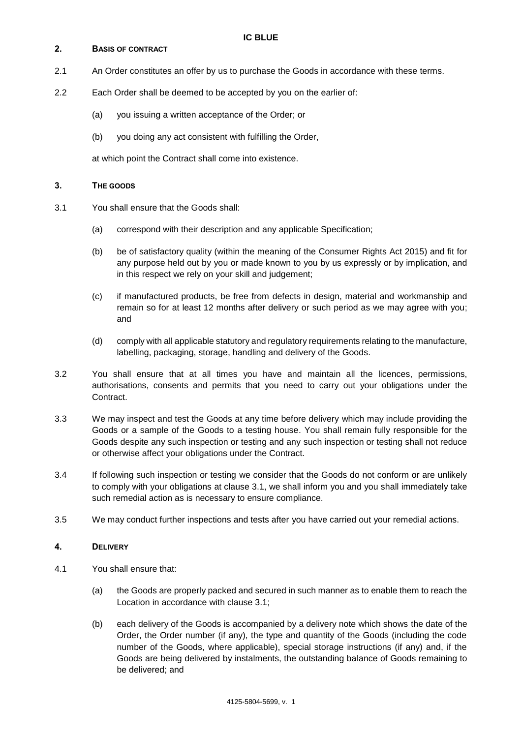## 2. BASIS OF CONTRACT

- 2.1 An Order constitutes an offer by us to purchase the Goods in accordance with these terms.
- 2.2 Each Order shall be deemed to be accepted by you on the earlier of:
	- (a) you issuing a written acceptance of the Order; or
	- (b) you doing any act consistent with fulfilling the Order,

at which point the Contract shall come into existence.

#### 3. THE GOODS

- <span id="page-1-0"></span>3.1 You shall ensure that the Goods shall:
	- (a) correspond with their description and any applicable Specification;
	- (b) be of satisfactory quality (within the meaning of the Consumer Rights Act 2015) and fit for any purpose held out by you or made known to you by us expressly or by implication, and in this respect we rely on your skill and judgement;
	- (c) if manufactured products, be free from defects in design, material and workmanship and remain so for at least 12 months after delivery or such period as we may agree with you; and
	- (d) comply with all applicable statutory and regulatory requirements relating to the manufacture, labelling, packaging, storage, handling and delivery of the Goods.
- 3.2 You shall ensure that at all times you have and maintain all the licences, permissions, authorisations, consents and permits that you need to carry out your obligations under the Contract.
- 3.3 We may inspect and test the Goods at any time before delivery which may include providing the Goods or a sample of the Goods to a testing house. You shall remain fully responsible for the Goods despite any such inspection or testing and any such inspection or testing shall not reduce or otherwise affect your obligations under the Contract.
- 3.4 If following such inspection or testing we consider that the Goods do not conform or are unlikely to comply with your obligations at clause [3.1,](#page-1-0) we shall inform you and you shall immediately take such remedial action as is necessary to ensure compliance.
- 3.5 We may conduct further inspections and tests after you have carried out your remedial actions.

#### 4. DELIVERY

- 4.1 You shall ensure that:
	- (a) the Goods are properly packed and secured in such manner as to enable them to reach the Location in accordance with clause 3.1;
	- (b) each delivery of the Goods is accompanied by a delivery note which shows the date of the Order, the Order number (if any), the type and quantity of the Goods (including the code number of the Goods, where applicable), special storage instructions (if any) and, if the Goods are being delivered by instalments, the outstanding balance of Goods remaining to be delivered; and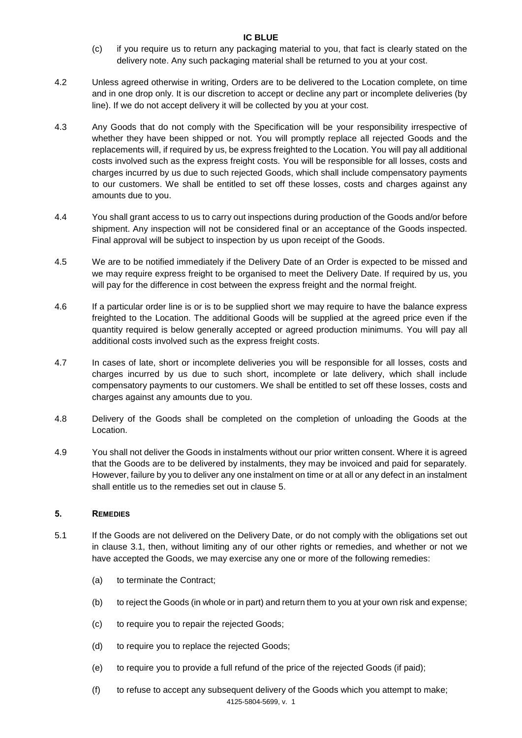- (c) if you require us to return any packaging material to you, that fact is clearly stated on the delivery note. Any such packaging material shall be returned to you at your cost.
- 4.2 Unless agreed otherwise in writing, Orders are to be delivered to the Location complete, on time and in one drop only. It is our discretion to accept or decline any part or incomplete deliveries (by line). If we do not accept delivery it will be collected by you at your cost.
- 4.3 Any Goods that do not comply with the Specification will be your responsibility irrespective of whether they have been shipped or not. You will promptly replace all rejected Goods and the replacements will, if required by us, be express freighted to the Location. You will pay all additional costs involved such as the express freight costs. You will be responsible for all losses, costs and charges incurred by us due to such rejected Goods, which shall include compensatory payments to our customers. We shall be entitled to set off these losses, costs and charges against any amounts due to you.
- 4.4 You shall grant access to us to carry out inspections during production of the Goods and/or before shipment. Any inspection will not be considered final or an acceptance of the Goods inspected. Final approval will be subject to inspection by us upon receipt of the Goods.
- 4.5 We are to be notified immediately if the Delivery Date of an Order is expected to be missed and we may require express freight to be organised to meet the Delivery Date. If required by us, you will pay for the difference in cost between the express freight and the normal freight.
- 4.6 If a particular order line is or is to be supplied short we may require to have the balance express freighted to the Location. The additional Goods will be supplied at the agreed price even if the quantity required is below generally accepted or agreed production minimums. You will pay all additional costs involved such as the express freight costs.
- 4.7 In cases of late, short or incomplete deliveries you will be responsible for all losses, costs and charges incurred by us due to such short, incomplete or late delivery, which shall include compensatory payments to our customers. We shall be entitled to set off these losses, costs and charges against any amounts due to you.
- 4.8 Delivery of the Goods shall be completed on the completion of unloading the Goods at the Location.
- 4.9 You shall not deliver the Goods in instalments without our prior written consent. Where it is agreed that the Goods are to be delivered by instalments, they may be invoiced and paid for separately. However, failure by you to deliver any one instalment on time or at all or any defect in an instalment shall entitle us to the remedies set out in clause [5.](#page-2-0)

# <span id="page-2-0"></span>5. REMEDIES

- 5.1 If the Goods are not delivered on the Delivery Date, or do not comply with the obligations set out in clause [3.1,](#page-1-0) then, without limiting any of our other rights or remedies, and whether or not we have accepted the Goods, we may exercise any one or more of the following remedies:
	- (a) to terminate the Contract;
	- (b) to reject the Goods (in whole or in part) and return them to you at your own risk and expense;
	- (c) to require you to repair the rejected Goods;
	- (d) to require you to replace the rejected Goods;
	- (e) to require you to provide a full refund of the price of the rejected Goods (if paid);
	- (f) to refuse to accept any subsequent delivery of the Goods which you attempt to make;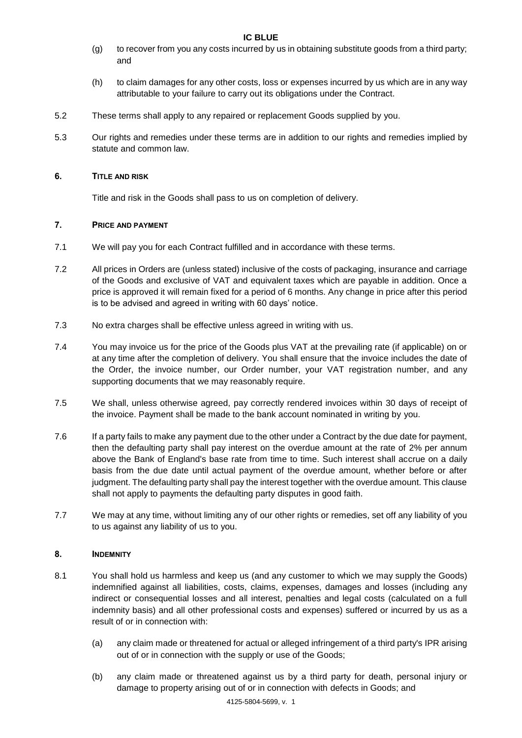- (g) to recover from you any costs incurred by us in obtaining substitute goods from a third party; and
- (h) to claim damages for any other costs, loss or expenses incurred by us which are in any way attributable to your failure to carry out its obligations under the Contract.
- 5.2 These terms shall apply to any repaired or replacement Goods supplied by you.
- 5.3 Our rights and remedies under these terms are in addition to our rights and remedies implied by statute and common law.

# 6. TITLE AND RISK

Title and risk in the Goods shall pass to us on completion of delivery.

# 7. PRICE AND PAYMENT

- 7.1 We will pay you for each Contract fulfilled and in accordance with these terms.
- 7.2 All prices in Orders are (unless stated) inclusive of the costs of packaging, insurance and carriage of the Goods and exclusive of VAT and equivalent taxes which are payable in addition. Once a price is approved it will remain fixed for a period of 6 months. Any change in price after this period is to be advised and agreed in writing with 60 days' notice.
- 7.3 No extra charges shall be effective unless agreed in writing with us.
- 7.4 You may invoice us for the price of the Goods plus VAT at the prevailing rate (if applicable) on or at any time after the completion of delivery. You shall ensure that the invoice includes the date of the Order, the invoice number, our Order number, your VAT registration number, and any supporting documents that we may reasonably require.
- 7.5 We shall, unless otherwise agreed, pay correctly rendered invoices within 30 days of receipt of the invoice. Payment shall be made to the bank account nominated in writing by you.
- 7.6 If a party fails to make any payment due to the other under a Contract by the due date for payment, then the defaulting party shall pay interest on the overdue amount at the rate of 2% per annum above the Bank of England's base rate from time to time. Such interest shall accrue on a daily basis from the due date until actual payment of the overdue amount, whether before or after judgment. The defaulting party shall pay the interest together with the overdue amount. This clause shall not apply to payments the defaulting party disputes in good faith.
- 7.7 We may at any time, without limiting any of our other rights or remedies, set off any liability of you to us against any liability of us to you.

# <span id="page-3-0"></span>8. INDEMNITY

- 8.1 You shall hold us harmless and keep us (and any customer to which we may supply the Goods) indemnified against all liabilities, costs, claims, expenses, damages and losses (including any indirect or consequential losses and all interest, penalties and legal costs (calculated on a full indemnity basis) and all other professional costs and expenses) suffered or incurred by us as a result of or in connection with:
	- (a) any claim made or threatened for actual or alleged infringement of a third party's IPR arising out of or in connection with the supply or use of the Goods;
	- (b) any claim made or threatened against us by a third party for death, personal injury or damage to property arising out of or in connection with defects in Goods; and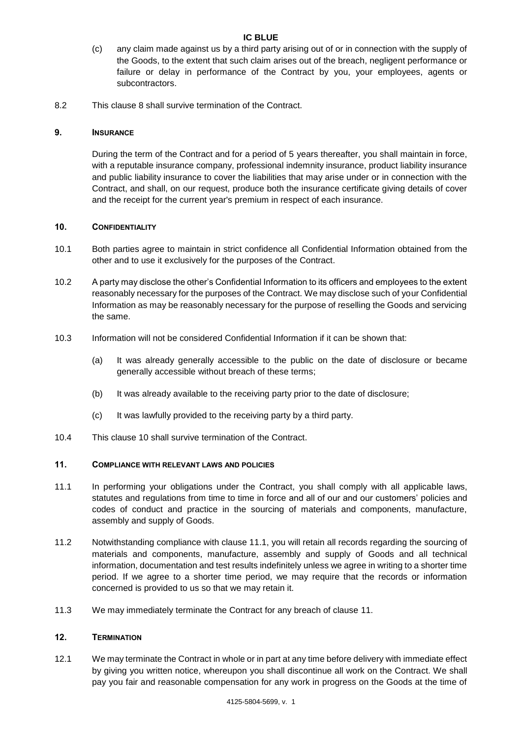- (c) any claim made against us by a third party arising out of or in connection with the supply of the Goods, to the extent that such claim arises out of the breach, negligent performance or failure or delay in performance of the Contract by you, your employees, agents or subcontractors.
- 8.2 This clause [8](#page-3-0) shall survive termination of the Contract.

## 9. INSURANCE

During the term of the Contract and for a period of 5 years thereafter, you shall maintain in force, with a reputable insurance company, professional indemnity insurance, product liability insurance and public liability insurance to cover the liabilities that may arise under or in connection with the Contract, and shall, on our request, produce both the insurance certificate giving details of cover and the receipt for the current year's premium in respect of each insurance.

## <span id="page-4-0"></span>10. CONFIDENTIALITY

- 10.1 Both parties agree to maintain in strict confidence all Confidential Information obtained from the other and to use it exclusively for the purposes of the Contract.
- 10.2 A party may disclose the other's Confidential Information to its officers and employees to the extent reasonably necessary for the purposes of the Contract. We may disclose such of your Confidential Information as may be reasonably necessary for the purpose of reselling the Goods and servicing the same.
- 10.3 Information will not be considered Confidential Information if it can be shown that:
	- (a) It was already generally accessible to the public on the date of disclosure or became generally accessible without breach of these terms;
	- (b) It was already available to the receiving party prior to the date of disclosure;
	- (c) It was lawfully provided to the receiving party by a third party.
- 10.4 This clause [10](#page-4-0) shall survive termination of the Contract.

# <span id="page-4-1"></span>11. COMPLIANCE WITH RELEVANT LAWS AND POLICIES

- 11.1 In performing your obligations under the Contract, you shall comply with all applicable laws, statutes and regulations from time to time in force and all of our and our customers' policies and codes of conduct and practice in the sourcing of materials and components, manufacture, assembly and supply of Goods.
- 11.2 Notwithstanding compliance with clause 11.1, you will retain all records regarding the sourcing of materials and components, manufacture, assembly and supply of Goods and all technical information, documentation and test results indefinitely unless we agree in writing to a shorter time period. If we agree to a shorter time period, we may require that the records or information concerned is provided to us so that we may retain it.
- 11.3 We may immediately terminate the Contract for any breach of clause [11.](#page-4-1)

#### 12. TERMINATION

12.1 We may terminate the Contract in whole or in part at any time before delivery with immediate effect by giving you written notice, whereupon you shall discontinue all work on the Contract. We shall pay you fair and reasonable compensation for any work in progress on the Goods at the time of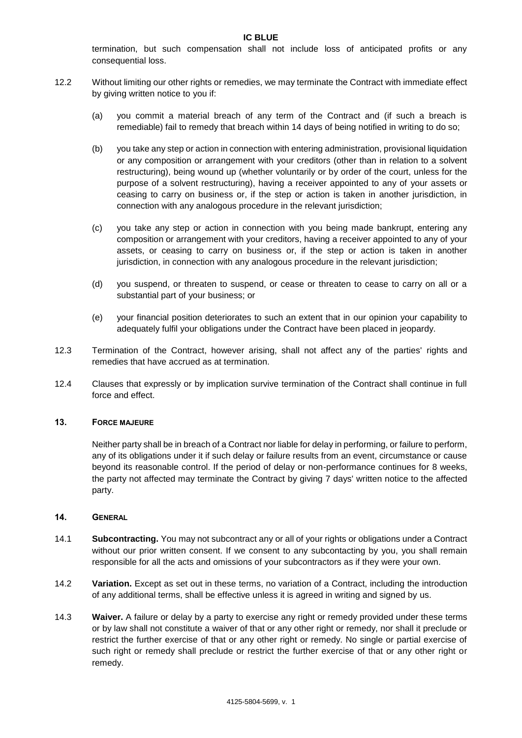termination, but such compensation shall not include loss of anticipated profits or any consequential loss.

- 12.2 Without limiting our other rights or remedies, we may terminate the Contract with immediate effect by giving written notice to you if:
	- (a) you commit a material breach of any term of the Contract and (if such a breach is remediable) fail to remedy that breach within 14 days of being notified in writing to do so;
	- (b) you take any step or action in connection with entering administration, provisional liquidation or any composition or arrangement with your creditors (other than in relation to a solvent restructuring), being wound up (whether voluntarily or by order of the court, unless for the purpose of a solvent restructuring), having a receiver appointed to any of your assets or ceasing to carry on business or, if the step or action is taken in another jurisdiction, in connection with any analogous procedure in the relevant jurisdiction;
	- (c) you take any step or action in connection with you being made bankrupt, entering any composition or arrangement with your creditors, having a receiver appointed to any of your assets, or ceasing to carry on business or, if the step or action is taken in another jurisdiction, in connection with any analogous procedure in the relevant jurisdiction;
	- (d) you suspend, or threaten to suspend, or cease or threaten to cease to carry on all or a substantial part of your business; or
	- (e) your financial position deteriorates to such an extent that in our opinion your capability to adequately fulfil your obligations under the Contract have been placed in jeopardy.
- 12.3 Termination of the Contract, however arising, shall not affect any of the parties' rights and remedies that have accrued as at termination.
- 12.4 Clauses that expressly or by implication survive termination of the Contract shall continue in full force and effect.

## 13. FORCE MAJEURE

Neither party shall be in breach of a Contract nor liable for delay in performing, or failure to perform, any of its obligations under it if such delay or failure results from an event, circumstance or cause beyond its reasonable control. If the period of delay or non-performance continues for 8 weeks, the party not affected may terminate the Contract by giving 7 days' written notice to the affected party.

### 14. GENERAL

- 14.1 **Subcontracting.** You may not subcontract any or all of your rights or obligations under a Contract without our prior written consent. If we consent to any subcontacting by you, you shall remain responsible for all the acts and omissions of your subcontractors as if they were your own.
- 14.2 **Variation.** Except as set out in these terms, no variation of a Contract, including the introduction of any additional terms, shall be effective unless it is agreed in writing and signed by us.
- 14.3 **Waiver.** A failure or delay by a party to exercise any right or remedy provided under these terms or by law shall not constitute a waiver of that or any other right or remedy, nor shall it preclude or restrict the further exercise of that or any other right or remedy. No single or partial exercise of such right or remedy shall preclude or restrict the further exercise of that or any other right or remedy.